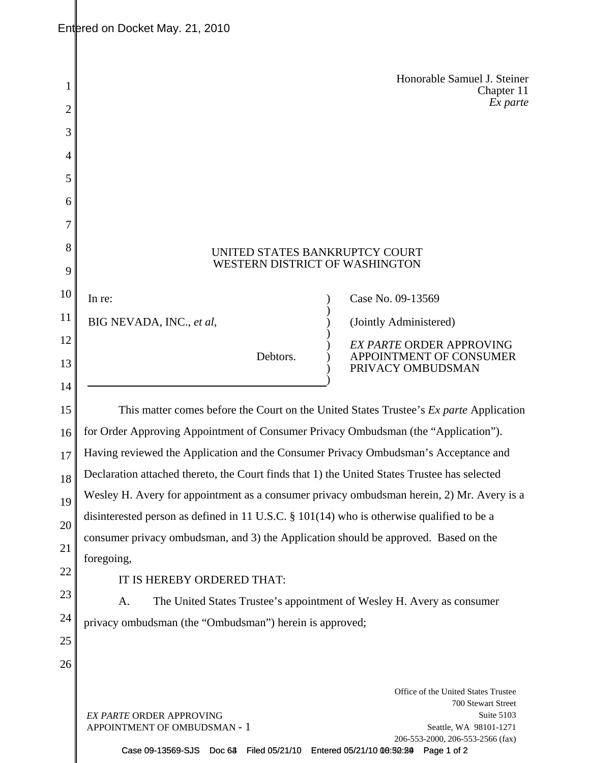| 2      | Honorable Samuel J. Steiner<br>Chapter 11<br>Ex parte                                                                                       |  |  |  |
|--------|---------------------------------------------------------------------------------------------------------------------------------------------|--|--|--|
|        |                                                                                                                                             |  |  |  |
| 3      |                                                                                                                                             |  |  |  |
| 4      |                                                                                                                                             |  |  |  |
| 5      |                                                                                                                                             |  |  |  |
| 6<br>7 |                                                                                                                                             |  |  |  |
|        |                                                                                                                                             |  |  |  |
| 8      | UNITED STATES BANKRUPTCY COURT<br>WESTERN DISTRICT OF WASHINGTON                                                                            |  |  |  |
| 9      |                                                                                                                                             |  |  |  |
| 10     | Case No. 09-13569<br>In re:                                                                                                                 |  |  |  |
| 11     | BIG NEVADA, INC., et al,<br>(Jointly Administered)                                                                                          |  |  |  |
| 12     | <b>EX PARTE ORDER APPROVING</b><br>Debtors.<br>APPOINTMENT OF CONSUMER                                                                      |  |  |  |
| 13     | PRIVACY OMBUDSMAN                                                                                                                           |  |  |  |
| 14     |                                                                                                                                             |  |  |  |
| 15     | This matter comes before the Court on the United States Trustee's <i>Ex parte</i> Application                                               |  |  |  |
| 16     | for Order Approving Appointment of Consumer Privacy Ombudsman (the "Application").                                                          |  |  |  |
| 17     | Having reviewed the Application and the Consumer Privacy Ombudsman's Acceptance and                                                         |  |  |  |
| 18     | Declaration attached thereto, the Court finds that 1) the United States Trustee has selected                                                |  |  |  |
| 19     | Wesley H. Avery for appointment as a consumer privacy ombudsman herein, 2) Mr. Avery is a                                                   |  |  |  |
| 20     | disinterested person as defined in 11 U.S.C. § 101(14) who is otherwise qualified to be a                                                   |  |  |  |
| 21     | consumer privacy ombudsman, and 3) the Application should be approved. Based on the                                                         |  |  |  |
| 22     | foregoing,                                                                                                                                  |  |  |  |
| 23     | IT IS HEREBY ORDERED THAT:                                                                                                                  |  |  |  |
| 24     | The United States Trustee's appointment of Wesley H. Avery as consumer<br>A.                                                                |  |  |  |
| 25     | privacy ombudsman (the "Ombudsman") herein is approved;                                                                                     |  |  |  |
| 26     |                                                                                                                                             |  |  |  |
|        | Office of the United States Trustee                                                                                                         |  |  |  |
|        | 700 Stewart Street                                                                                                                          |  |  |  |
|        | Suite 5103<br><b>EX PARTE ORDER APPROVING</b><br>APPOINTMENT OF OMBUDSMAN - 1<br>Seattle, WA 98101-1271<br>206-553-2000, 206-553-2566 (fax) |  |  |  |

Case 09-13569-SJS Doc 63 Filed 05/21/10 Entered 05/21/10 00:50:29 Page 1 of 2